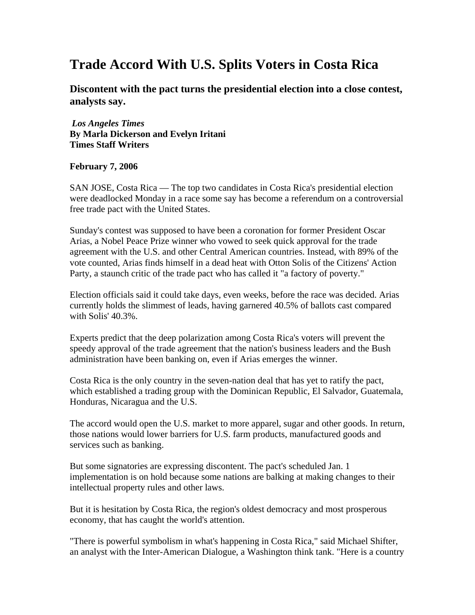## **Trade Accord With U.S. Splits Voters in Costa Rica**

**Discontent with the pact turns the presidential election into a close contest, analysts say.**

*Los Angeles Times* **By Marla Dickerson and Evelyn Iritani Times Staff Writers** 

## **February 7, 2006**

SAN JOSE, Costa Rica — The top two candidates in Costa Rica's presidential election were deadlocked Monday in a race some say has become a referendum on a controversial free trade pact with the United States.

Sunday's contest was supposed to have been a coronation for former President Oscar Arias, a Nobel Peace Prize winner who vowed to seek quick approval for the trade agreement with the U.S. and other Central American countries. Instead, with 89% of the vote counted, Arias finds himself in a dead heat with Otton Solis of the Citizens' Action Party, a staunch critic of the trade pact who has called it "a factory of poverty."

Election officials said it could take days, even weeks, before the race was decided. Arias currently holds the slimmest of leads, having garnered 40.5% of ballots cast compared with Solis' 40.3%.

Experts predict that the deep polarization among Costa Rica's voters will prevent the speedy approval of the trade agreement that the nation's business leaders and the Bush administration have been banking on, even if Arias emerges the winner.

Costa Rica is the only country in the seven-nation deal that has yet to ratify the pact, which established a trading group with the Dominican Republic, El Salvador, Guatemala, Honduras, Nicaragua and the U.S.

The accord would open the U.S. market to more apparel, sugar and other goods. In return, those nations would lower barriers for U.S. farm products, manufactured goods and services such as banking.

But some signatories are expressing discontent. The pact's scheduled Jan. 1 implementation is on hold because some nations are balking at making changes to their intellectual property rules and other laws.

But it is hesitation by Costa Rica, the region's oldest democracy and most prosperous economy, that has caught the world's attention.

"There is powerful symbolism in what's happening in Costa Rica," said Michael Shifter, an analyst with the Inter-American Dialogue, a Washington think tank. "Here is a country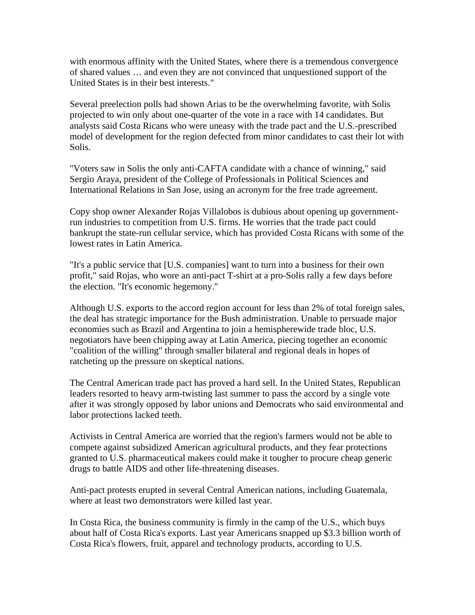with enormous affinity with the United States, where there is a tremendous convergence of shared values … and even they are not convinced that unquestioned support of the United States is in their best interests."

Several preelection polls had shown Arias to be the overwhelming favorite, with Solis projected to win only about one-quarter of the vote in a race with 14 candidates. But analysts said Costa Ricans who were uneasy with the trade pact and the U.S.-prescribed model of development for the region defected from minor candidates to cast their lot with Solis.

"Voters saw in Solis the only anti-CAFTA candidate with a chance of winning," said Sergio Araya, president of the College of Professionals in Political Sciences and International Relations in San Jose, using an acronym for the free trade agreement.

Copy shop owner Alexander Rojas Villalobos is dubious about opening up governmentrun industries to competition from U.S. firms. He worries that the trade pact could bankrupt the state-run cellular service, which has provided Costa Ricans with some of the lowest rates in Latin America.

"It's a public service that [U.S. companies] want to turn into a business for their own profit," said Rojas, who wore an anti-pact T-shirt at a pro-Solis rally a few days before the election. "It's economic hegemony."

Although U.S. exports to the accord region account for less than 2% of total foreign sales, the deal has strategic importance for the Bush administration. Unable to persuade major economies such as Brazil and Argentina to join a hemispherewide trade bloc, U.S. negotiators have been chipping away at Latin America, piecing together an economic "coalition of the willing" through smaller bilateral and regional deals in hopes of ratcheting up the pressure on skeptical nations.

The Central American trade pact has proved a hard sell. In the United States, Republican leaders resorted to heavy arm-twisting last summer to pass the accord by a single vote after it was strongly opposed by labor unions and Democrats who said environmental and labor protections lacked teeth.

Activists in Central America are worried that the region's farmers would not be able to compete against subsidized American agricultural products, and they fear protections granted to U.S. pharmaceutical makers could make it tougher to procure cheap generic drugs to battle AIDS and other life-threatening diseases.

Anti-pact protests erupted in several Central American nations, including Guatemala, where at least two demonstrators were killed last year.

In Costa Rica, the business community is firmly in the camp of the U.S., which buys about half of Costa Rica's exports. Last year Americans snapped up \$3.3 billion worth of Costa Rica's flowers, fruit, apparel and technology products, according to U.S.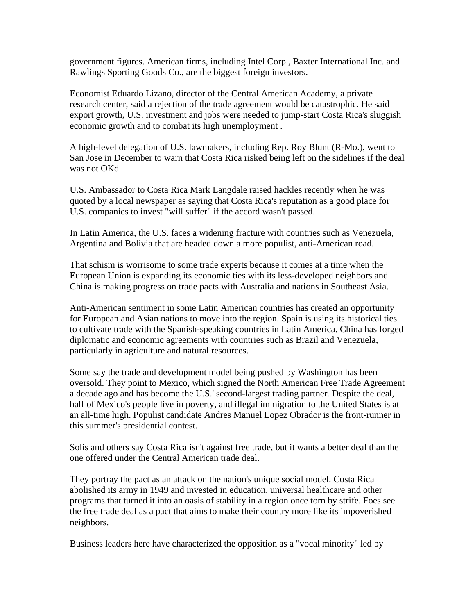government figures. American firms, including Intel Corp., Baxter International Inc. and Rawlings Sporting Goods Co., are the biggest foreign investors.

Economist Eduardo Lizano, director of the Central American Academy, a private research center, said a rejection of the trade agreement would be catastrophic. He said export growth, U.S. investment and jobs were needed to jump-start Costa Rica's sluggish economic growth and to combat its high unemployment .

A high-level delegation of U.S. lawmakers, including Rep. Roy Blunt (R-Mo.), went to San Jose in December to warn that Costa Rica risked being left on the sidelines if the deal was not OKd.

U.S. Ambassador to Costa Rica Mark Langdale raised hackles recently when he was quoted by a local newspaper as saying that Costa Rica's reputation as a good place for U.S. companies to invest "will suffer" if the accord wasn't passed.

In Latin America, the U.S. faces a widening fracture with countries such as Venezuela, Argentina and Bolivia that are headed down a more populist, anti-American road.

That schism is worrisome to some trade experts because it comes at a time when the European Union is expanding its economic ties with its less-developed neighbors and China is making progress on trade pacts with Australia and nations in Southeast Asia.

Anti-American sentiment in some Latin American countries has created an opportunity for European and Asian nations to move into the region. Spain is using its historical ties to cultivate trade with the Spanish-speaking countries in Latin America. China has forged diplomatic and economic agreements with countries such as Brazil and Venezuela, particularly in agriculture and natural resources.

Some say the trade and development model being pushed by Washington has been oversold. They point to Mexico, which signed the North American Free Trade Agreement a decade ago and has become the U.S.' second-largest trading partner*.* Despite the deal*,*  half of Mexico's people live in poverty, and illegal immigration to the United States is at an all-time high. Populist candidate Andres Manuel Lopez Obrador is the front-runner in this summer's presidential contest.

Solis and others say Costa Rica isn't against free trade, but it wants a better deal than the one offered under the Central American trade deal.

They portray the pact as an attack on the nation's unique social model. Costa Rica abolished its army in 1949 and invested in education, universal healthcare and other programs that turned it into an oasis of stability in a region once torn by strife. Foes see the free trade deal as a pact that aims to make their country more like its impoverished neighbors.

Business leaders here have characterized the opposition as a "vocal minority" led by